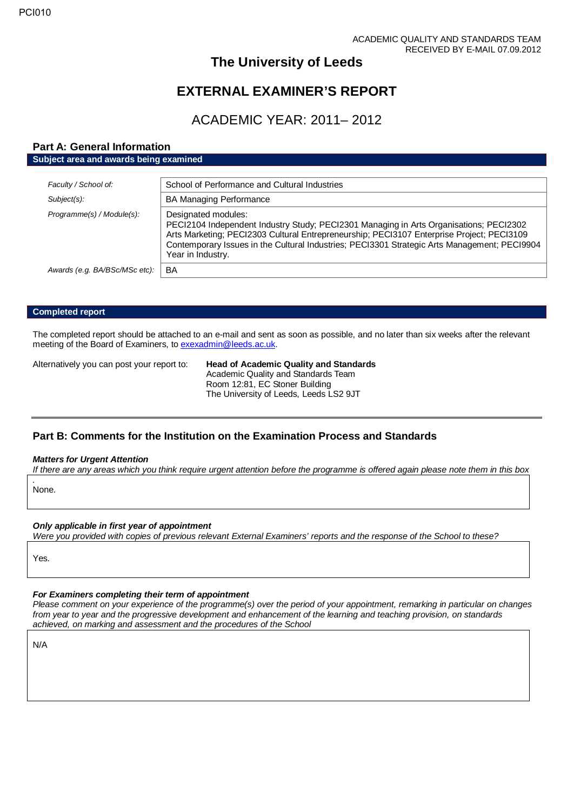## **The University of Leeds**

# **EXTERNAL EXAMINER'S REPORT**

# ACADEMIC YEAR: 2011– 2012

## **Part A: General Information**

| Subject area and awards being examined |                                                                                                                                                                                                                                                                                                                                 |  |
|----------------------------------------|---------------------------------------------------------------------------------------------------------------------------------------------------------------------------------------------------------------------------------------------------------------------------------------------------------------------------------|--|
| Faculty / School of:<br>$Subject(s)$ : | School of Performance and Cultural Industries<br><b>BA Managing Performance</b>                                                                                                                                                                                                                                                 |  |
| Programme(s) / Module(s):              | Designated modules:<br>PECI2104 Independent Industry Study; PECI2301 Managing in Arts Organisations; PECI2302<br>Arts Marketing; PECI2303 Cultural Entrepreneurship; PECI3107 Enterprise Project; PECI3109<br>Contemporary Issues in the Cultural Industries; PECI3301 Strategic Arts Management; PECI9904<br>Year in Industry. |  |
| Awards (e.g. BA/BSc/MSc etc):          | BA                                                                                                                                                                                                                                                                                                                              |  |

#### **Completed report**

The completed report should be attached to an e-mail and sent as soon as possible, and no later than six weeks after the relevant meeting of the Board of Examiners, t[o exexadmin@leeds.ac.uk.](mailto:exexadmin@leeds.ac.uk)

Alternatively you can post your report to: **Head of Academic Quality and Standards** Academic Quality and Standards Team Room 12:81, EC Stoner Building The University of Leeds, Leeds LS2 9JT

## **Part B: Comments for the Institution on the Examination Process and Standards**

### *Matters for Urgent Attention*

*If there are any areas which you think require urgent attention before the programme is offered again please note them in this box .*

None.

#### *Only applicable in first year of appointment*

*Were you provided with copies of previous relevant External Examiners' reports and the response of the School to these?* 

Yes.

#### *For Examiners completing their term of appointment*

*Please comment on your experience of the programme(s) over the period of your appointment, remarking in particular on changes from year to year and the progressive development and enhancement of the learning and teaching provision, on standards achieved, on marking and assessment and the procedures of the School*

N/A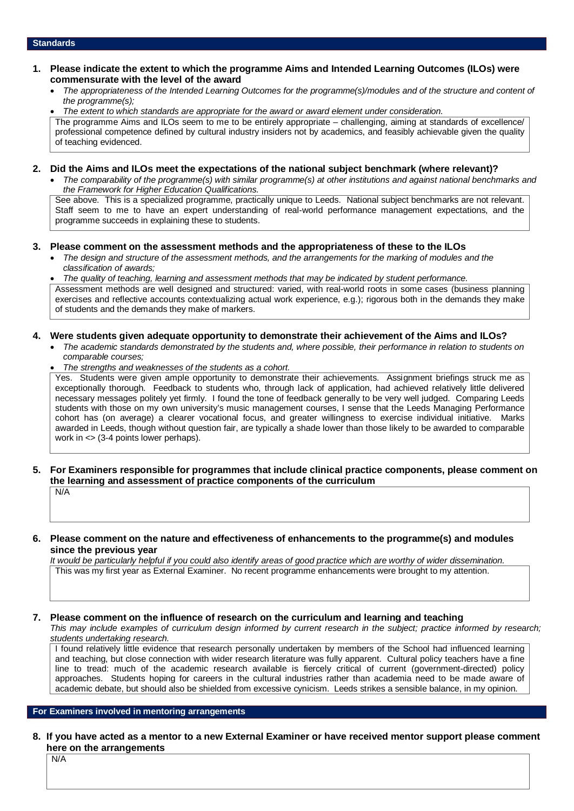- **1. Please indicate the extent to which the programme Aims and Intended Learning Outcomes (ILOs) were commensurate with the level of the award**
	- *The appropriateness of the Intended Learning Outcomes for the programme(s)/modules and of the structure and content of the programme(s);*

• *The extent to which standards are appropriate for the award or award element under consideration.* The programme Aims and ILOs seem to me to be entirely appropriate – challenging, aiming at standards of excellence/ professional competence defined by cultural industry insiders not by academics, and feasibly achievable given the quality of teaching evidenced.

#### **2. Did the Aims and ILOs meet the expectations of the national subject benchmark (where relevant)?**

• *The comparability of the programme(s) with similar programme(s) at other institutions and against national benchmarks and the Framework for Higher Education Qualifications.*

See above. This is a specialized programme, practically unique to Leeds. National subject benchmarks are not relevant. Staff seem to me to have an expert understanding of real-world performance management expectations, and the programme succeeds in explaining these to students.

#### **3. Please comment on the assessment methods and the appropriateness of these to the ILOs**

• *The design and structure of the assessment methods, and the arrangements for the marking of modules and the classification of awards;* 

• *The quality of teaching, learning and assessment methods that may be indicated by student performance.* Assessment methods are well designed and structured: varied, with real-world roots in some cases (business planning exercises and reflective accounts contextualizing actual work experience, e.g.); rigorous both in the demands they make of students and the demands they make of markers.

#### **4. Were students given adequate opportunity to demonstrate their achievement of the Aims and ILOs?**

- *The academic standards demonstrated by the students and, where possible, their performance in relation to students on comparable courses;*
- *The strengths and weaknesses of the students as a cohort.*

Yes. Students were given ample opportunity to demonstrate their achievements. Assignment briefings struck me as exceptionally thorough. Feedback to students who, through lack of application, had achieved relatively little delivered necessary messages politely yet firmly. I found the tone of feedback generally to be very well judged. Comparing Leeds students with those on my own university's music management courses, I sense that the Leeds Managing Performance cohort has (on average) a clearer vocational focus, and greater willingness to exercise individual initiative. Marks awarded in Leeds, though without question fair, are typically a shade lower than those likely to be awarded to comparable work in <> (3-4 points lower perhaps).

### **5. For Examiners responsible for programmes that include clinical practice components, please comment on the learning and assessment of practice components of the curriculum**

N/A

#### **6. Please comment on the nature and effectiveness of enhancements to the programme(s) and modules since the previous year**

*It would be particularly helpful if you could also identify areas of good practice which are worthy of wider dissemination.*  This was my first year as External Examiner. No recent programme enhancements were brought to my attention.

## **7. Please comment on the influence of research on the curriculum and learning and teaching**

*This may include examples of curriculum design informed by current research in the subject; practice informed by research; students undertaking research.* 

I found relatively little evidence that research personally undertaken by members of the School had influenced learning and teaching, but close connection with wider research literature was fully apparent. Cultural policy teachers have a fine line to tread: much of the academic research available is fiercely critical of current (government-directed) policy approaches. Students hoping for careers in the cultural industries rather than academia need to be made aware of academic debate, but should also be shielded from excessive cynicism. Leeds strikes a sensible balance, in my opinion.

## **For Examiners involved in mentoring arrangements**

### **8. If you have acted as a mentor to a new External Examiner or have received mentor support please comment here on the arrangements**

N/A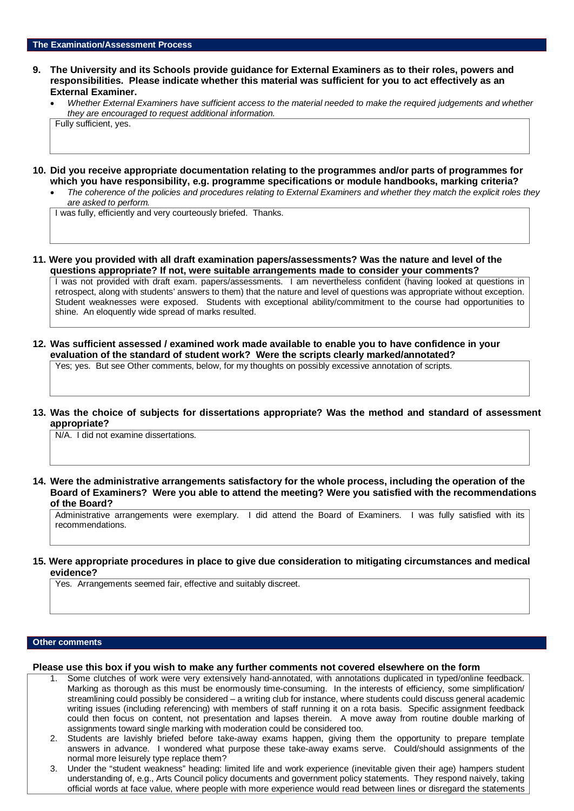- **9. The University and its Schools provide guidance for External Examiners as to their roles, powers and responsibilities. Please indicate whether this material was sufficient for you to act effectively as an External Examiner.**
	- *Whether External Examiners have sufficient access to the material needed to make the required judgements and whether they are encouraged to request additional information.* Fully sufficient, yes.
- **10. Did you receive appropriate documentation relating to the programmes and/or parts of programmes for which you have responsibility, e.g. programme specifications or module handbooks, marking criteria?**
	- *The coherence of the policies and procedures relating to External Examiners and whether they match the explicit roles they are asked to perform.*

I was fully, efficiently and very courteously briefed. Thanks.

**11. Were you provided with all draft examination papers/assessments? Was the nature and level of the questions appropriate? If not, were suitable arrangements made to consider your comments?**

I was not provided with draft exam. papers/assessments. I am nevertheless confident (having looked at questions in retrospect, along with students' answers to them) that the nature and level of questions was appropriate without exception. Student weaknesses were exposed. Students with exceptional ability/commitment to the course had opportunities to shine. An eloquently wide spread of marks resulted.

**12. Was sufficient assessed / examined work made available to enable you to have confidence in your evaluation of the standard of student work? Were the scripts clearly marked/annotated?** 

Yes; yes. But see Other comments, below, for my thoughts on possibly excessive annotation of scripts.

**13. Was the choice of subjects for dissertations appropriate? Was the method and standard of assessment appropriate?**

N/A. I did not examine dissertations.

**14. Were the administrative arrangements satisfactory for the whole process, including the operation of the Board of Examiners? Were you able to attend the meeting? Were you satisfied with the recommendations of the Board?**

Administrative arrangements were exemplary. I did attend the Board of Examiners. I was fully satisfied with its recommendations.

**15. Were appropriate procedures in place to give due consideration to mitigating circumstances and medical evidence?**

Yes. Arrangements seemed fair, effective and suitably discreet.

#### **Other comments**

**Please use this box if you wish to make any further comments not covered elsewhere on the form**

- 1. Some clutches of work were very extensively hand-annotated, with annotations duplicated in typed/online feedback. Marking as thorough as this must be enormously time-consuming. In the interests of efficiency, some simplification/ streamlining could possibly be considered – a writing club for instance, where students could discuss general academic writing issues (including referencing) with members of staff running it on a rota basis. Specific assignment feedback could then focus on content, not presentation and lapses therein. A move away from routine double marking of assignments toward single marking with moderation could be considered too.
- 2. Students are lavishly briefed before take-away exams happen, giving them the opportunity to prepare template answers in advance. I wondered what purpose these take-away exams serve. Could/should assignments of the normal more leisurely type replace them?
- 3. Under the "student weakness" heading: limited life and work experience (inevitable given their age) hampers student understanding of, e.g., Arts Council policy documents and government policy statements. They respond naively, taking official words at face value, where people with more experience would read between lines or disregard the statements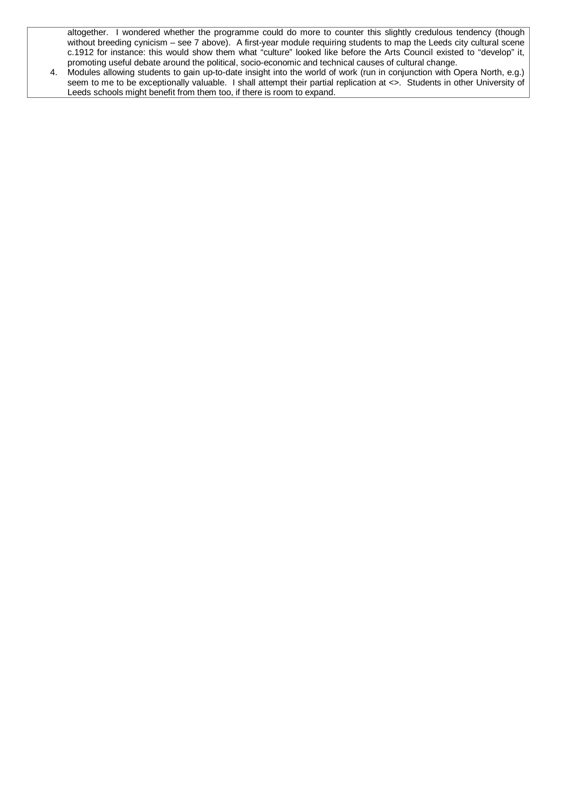altogether. I wondered whether the programme could do more to counter this slightly credulous tendency (though without breeding cynicism – see 7 above). A first-year module requiring students to map the Leeds city cultural scene c.1912 for instance: this would show them what "culture" looked like before the Arts Council existed to "develop" it, promoting useful debate around the political, socio-economic and technical causes of cultural change.

4. Modules allowing students to gain up-to-date insight into the world of work (run in conjunction with Opera North, e.g.) seem to me to be exceptionally valuable. I shall attempt their partial replication at <>. Students in other University of Leeds schools might benefit from them too, if there is room to expand.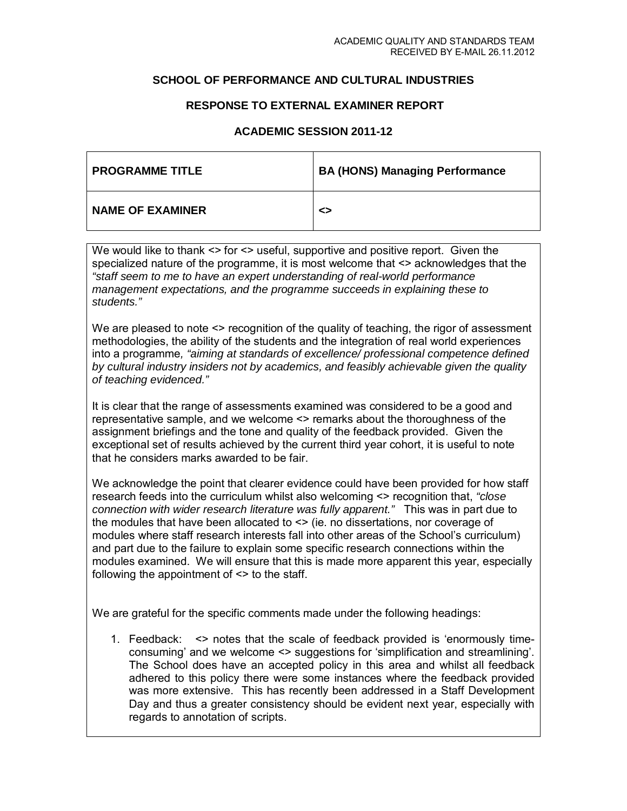### **SCHOOL OF PERFORMANCE AND CULTURAL INDUSTRIES**

### **RESPONSE TO EXTERNAL EXAMINER REPORT**

## **ACADEMIC SESSION 2011-12**

| <b>PROGRAMME TITLE</b>  | <b>BA (HONS) Managing Performance</b> |
|-------------------------|---------------------------------------|
| <b>NAME OF EXAMINER</b> | ◇                                     |

We would like to thank  $\le$  for  $\le$  useful, supportive and positive report. Given the specialized nature of the programme, it is most welcome that <> acknowledges that the *"staff seem to me to have an expert understanding of real-world performance management expectations, and the programme succeeds in explaining these to students."*

We are pleased to note <> recognition of the quality of teaching, the rigor of assessment methodologies, the ability of the students and the integration of real world experiences into a programme*, "aiming at standards of excellence/ professional competence defined by cultural industry insiders not by academics, and feasibly achievable given the quality of teaching evidenced."*

It is clear that the range of assessments examined was considered to be a good and representative sample, and we welcome <> remarks about the thoroughness of the assignment briefings and the tone and quality of the feedback provided. Given the exceptional set of results achieved by the current third year cohort, it is useful to note that he considers marks awarded to be fair.

We acknowledge the point that clearer evidence could have been provided for how staff research feeds into the curriculum whilst also welcoming <> recognition that, *"close connection with wider research literature was fully apparent."* This was in part due to the modules that have been allocated to <> (ie. no dissertations, nor coverage of modules where staff research interests fall into other areas of the School's curriculum) and part due to the failure to explain some specific research connections within the modules examined. We will ensure that this is made more apparent this year, especially following the appointment of <> to the staff.

We are grateful for the specific comments made under the following headings:

1. Feedback: <> notes that the scale of feedback provided is 'enormously timeconsuming' and we welcome <> suggestions for 'simplification and streamlining'. The School does have an accepted policy in this area and whilst all feedback adhered to this policy there were some instances where the feedback provided was more extensive. This has recently been addressed in a Staff Development Day and thus a greater consistency should be evident next year, especially with regards to annotation of scripts.